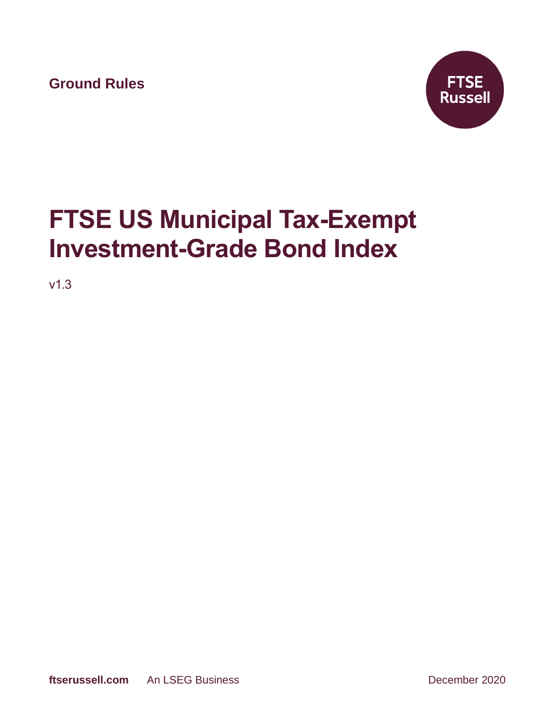**Ground Rules**



# **FTSE US Municipal Tax-Exempt Investment-Grade Bond Index**

v1.3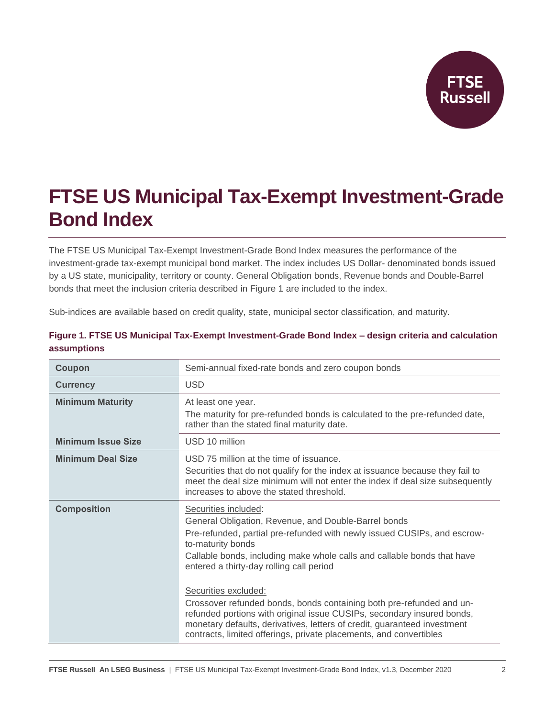

# **FTSE US Municipal Tax-Exempt Investment-Grade Bond Index**

The FTSE US Municipal Tax-Exempt Investment-Grade Bond Index measures the performance of the investment-grade tax-exempt municipal bond market. The index includes US Dollar- denominated bonds issued by a US state, municipality, territory or county. General Obligation bonds, Revenue bonds and Double-Barrel bonds that meet the inclusion criteria described in Figure 1 are included to the index.

Sub-indices are available based on credit quality, state, municipal sector classification, and maturity.

| Coupon                    | Semi-annual fixed-rate bonds and zero coupon bonds                                                                                                                                                                                                                                                                                                                                                                                                                                                                                                                                                                               |  |
|---------------------------|----------------------------------------------------------------------------------------------------------------------------------------------------------------------------------------------------------------------------------------------------------------------------------------------------------------------------------------------------------------------------------------------------------------------------------------------------------------------------------------------------------------------------------------------------------------------------------------------------------------------------------|--|
| <b>Currency</b>           | <b>USD</b>                                                                                                                                                                                                                                                                                                                                                                                                                                                                                                                                                                                                                       |  |
| <b>Minimum Maturity</b>   | At least one year.<br>The maturity for pre-refunded bonds is calculated to the pre-refunded date,<br>rather than the stated final maturity date.                                                                                                                                                                                                                                                                                                                                                                                                                                                                                 |  |
| <b>Minimum Issue Size</b> | USD 10 million                                                                                                                                                                                                                                                                                                                                                                                                                                                                                                                                                                                                                   |  |
| <b>Minimum Deal Size</b>  | USD 75 million at the time of issuance.<br>Securities that do not qualify for the index at issuance because they fail to<br>meet the deal size minimum will not enter the index if deal size subsequently<br>increases to above the stated threshold.                                                                                                                                                                                                                                                                                                                                                                            |  |
| <b>Composition</b>        | Securities included:<br>General Obligation, Revenue, and Double-Barrel bonds<br>Pre-refunded, partial pre-refunded with newly issued CUSIPs, and escrow-<br>to-maturity bonds<br>Callable bonds, including make whole calls and callable bonds that have<br>entered a thirty-day rolling call period<br>Securities excluded:<br>Crossover refunded bonds, bonds containing both pre-refunded and un-<br>refunded portions with original issue CUSIPs, secondary insured bonds,<br>monetary defaults, derivatives, letters of credit, guaranteed investment<br>contracts, limited offerings, private placements, and convertibles |  |

#### **Figure 1. FTSE US Municipal Tax-Exempt Investment-Grade Bond Index – design criteria and calculation assumptions**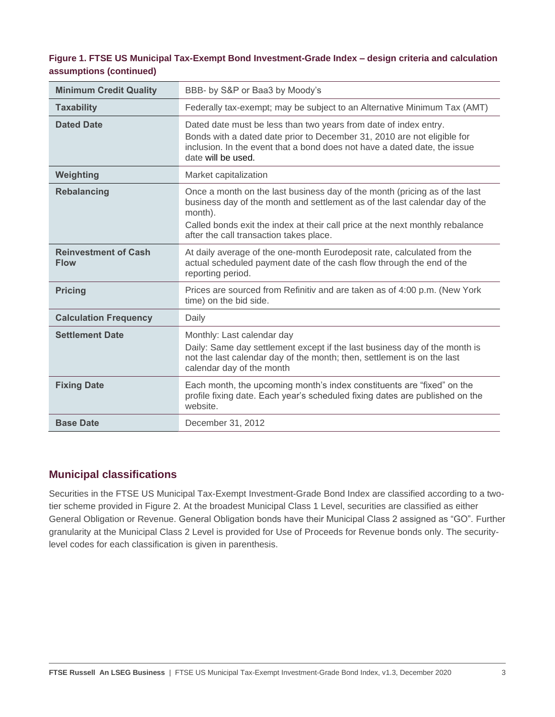#### **Figure 1. FTSE US Municipal Tax-Exempt Bond Investment-Grade Index – design criteria and calculation assumptions (continued)**

| <b>Minimum Credit Quality</b>              | BBB- by S&P or Baa3 by Moody's                                                                                                                                                                                                                                                                   |  |  |
|--------------------------------------------|--------------------------------------------------------------------------------------------------------------------------------------------------------------------------------------------------------------------------------------------------------------------------------------------------|--|--|
| <b>Taxability</b>                          | Federally tax-exempt; may be subject to an Alternative Minimum Tax (AMT)                                                                                                                                                                                                                         |  |  |
| <b>Dated Date</b>                          | Dated date must be less than two years from date of index entry.<br>Bonds with a dated date prior to December 31, 2010 are not eligible for<br>inclusion. In the event that a bond does not have a dated date, the issue<br>date will be used.                                                   |  |  |
| Weighting                                  | Market capitalization                                                                                                                                                                                                                                                                            |  |  |
| <b>Rebalancing</b>                         | Once a month on the last business day of the month (pricing as of the last<br>business day of the month and settlement as of the last calendar day of the<br>month).<br>Called bonds exit the index at their call price at the next monthly rebalance<br>after the call transaction takes place. |  |  |
| <b>Reinvestment of Cash</b><br><b>Flow</b> | At daily average of the one-month Eurodeposit rate, calculated from the<br>actual scheduled payment date of the cash flow through the end of the<br>reporting period.                                                                                                                            |  |  |
| <b>Pricing</b>                             | Prices are sourced from Refinitiv and are taken as of 4:00 p.m. (New York<br>time) on the bid side.                                                                                                                                                                                              |  |  |
| <b>Calculation Frequency</b>               | Daily                                                                                                                                                                                                                                                                                            |  |  |
| <b>Settlement Date</b>                     | Monthly: Last calendar day<br>Daily: Same day settlement except if the last business day of the month is<br>not the last calendar day of the month; then, settlement is on the last<br>calendar day of the month                                                                                 |  |  |
| <b>Fixing Date</b>                         | Each month, the upcoming month's index constituents are "fixed" on the<br>profile fixing date. Each year's scheduled fixing dates are published on the<br>website.                                                                                                                               |  |  |
| <b>Base Date</b>                           | December 31, 2012                                                                                                                                                                                                                                                                                |  |  |

## **Municipal classifications**

Securities in the FTSE US Municipal Tax-Exempt Investment-Grade Bond Index are classified according to a twotier scheme provided in Figure 2. At the broadest Municipal Class 1 Level, securities are classified as either General Obligation or Revenue. General Obligation bonds have their Municipal Class 2 assigned as "GO". Further granularity at the Municipal Class 2 Level is provided for Use of Proceeds for Revenue bonds only. The securitylevel codes for each classification is given in parenthesis.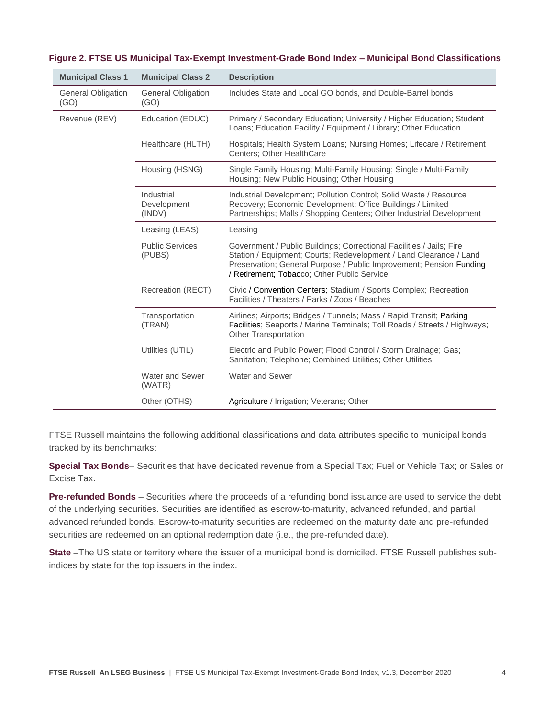| <b>Municipal Class 1</b>          | <b>Municipal Class 2</b>            | <b>Description</b>                                                                                                                                                                                                                                               |
|-----------------------------------|-------------------------------------|------------------------------------------------------------------------------------------------------------------------------------------------------------------------------------------------------------------------------------------------------------------|
| <b>General Obligation</b><br>(GO) | <b>General Obligation</b><br>(GO)   | Includes State and Local GO bonds, and Double-Barrel bonds                                                                                                                                                                                                       |
| Revenue (REV)                     | Education (EDUC)                    | Primary / Secondary Education; University / Higher Education; Student<br>Loans; Education Facility / Equipment / Library; Other Education                                                                                                                        |
|                                   | Healthcare (HLTH)                   | Hospitals; Health System Loans; Nursing Homes; Lifecare / Retirement<br><b>Centers: Other HealthCare</b>                                                                                                                                                         |
|                                   | Housing (HSNG)                      | Single Family Housing; Multi-Family Housing; Single / Multi-Family<br>Housing: New Public Housing: Other Housing                                                                                                                                                 |
|                                   | Industrial<br>Development<br>(INDV) | Industrial Development; Pollution Control; Solid Waste / Resource<br>Recovery; Economic Development; Office Buildings / Limited<br>Partnerships; Malls / Shopping Centers; Other Industrial Development                                                          |
|                                   | Leasing (LEAS)                      | Leasing                                                                                                                                                                                                                                                          |
|                                   | <b>Public Services</b><br>(PUBS)    | Government / Public Buildings; Correctional Facilities / Jails; Fire<br>Station / Equipment; Courts; Redevelopment / Land Clearance / Land<br>Preservation; General Purpose / Public Improvement; Pension Funding<br>/ Retirement; Tobacco; Other Public Service |
|                                   | Recreation (RECT)                   | Civic / Convention Centers; Stadium / Sports Complex; Recreation<br>Facilities / Theaters / Parks / Zoos / Beaches                                                                                                                                               |
|                                   | Transportation<br>(TRAN)            | Airlines; Airports; Bridges / Tunnels; Mass / Rapid Transit; Parking<br>Facilities; Seaports / Marine Terminals; Toll Roads / Streets / Highways;<br><b>Other Transportation</b>                                                                                 |
|                                   | Utilities (UTIL)                    | Electric and Public Power; Flood Control / Storm Drainage; Gas;<br>Sanitation; Telephone; Combined Utilities; Other Utilities                                                                                                                                    |
|                                   | Water and Sewer<br>(WATR)           | <b>Water and Sewer</b>                                                                                                                                                                                                                                           |
|                                   | Other (OTHS)                        | Agriculture / Irrigation; Veterans; Other                                                                                                                                                                                                                        |

| Figure 2. FTSE US Municipal Tax-Exempt Investment-Grade Bond Index - Municipal Bond Classifications |  |
|-----------------------------------------------------------------------------------------------------|--|
|-----------------------------------------------------------------------------------------------------|--|

FTSE Russell maintains the following additional classifications and data attributes specific to municipal bonds tracked by its benchmarks:

**Special Tax Bonds**– Securities that have dedicated revenue from a Special Tax; Fuel or Vehicle Tax; or Sales or Excise Tax.

**Pre-refunded Bonds** – Securities where the proceeds of a refunding bond issuance are used to service the debt of the underlying securities. Securities are identified as escrow-to-maturity, advanced refunded, and partial advanced refunded bonds. Escrow-to-maturity securities are redeemed on the maturity date and pre-refunded securities are redeemed on an optional redemption date (i.e., the pre-refunded date).

**State** –The US state or territory where the issuer of a municipal bond is domiciled. FTSE Russell publishes subindices by state for the top issuers in the index.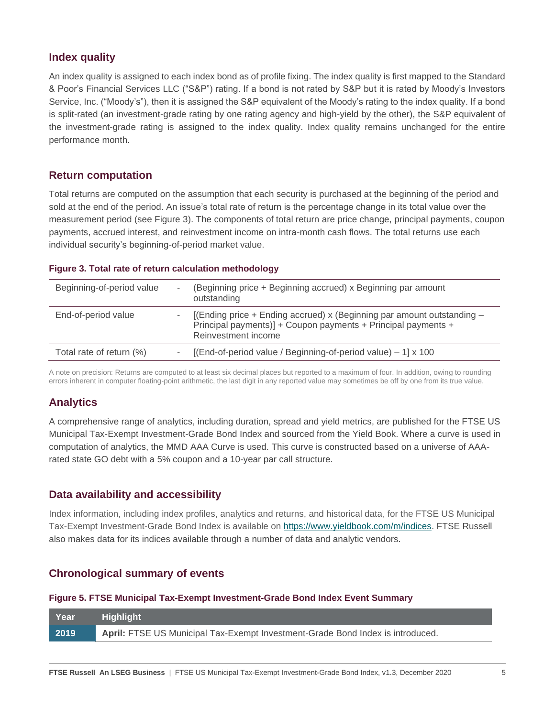# **Index quality**

An index quality is assigned to each index bond as of profile fixing. The index quality is first mapped to the Standard & Poor's Financial Services LLC ("S&P") rating. If a bond is not rated by S&P but it is rated by Moody's Investors Service, Inc. ("Moody's"), then it is assigned the S&P equivalent of the Moody's rating to the index quality. If a bond is split-rated (an investment-grade rating by one rating agency and high-yield by the other), the S&P equivalent of the investment-grade rating is assigned to the index quality. Index quality remains unchanged for the entire performance month.

# **Return computation**

Total returns are computed on the assumption that each security is purchased at the beginning of the period and sold at the end of the period. An issue's total rate of return is the percentage change in its total value over the measurement period (see Figure 3). The components of total return are price change, principal payments, coupon payments, accrued interest, and reinvestment income on intra-month cash flows. The total returns use each individual security's beginning-of-period market value.

#### **Figure 3. Total rate of return calculation methodology**

| Beginning-of-period value | (Beginning price + Beginning accrued) x Beginning par amount<br>outstanding                                                                                      |
|---------------------------|------------------------------------------------------------------------------------------------------------------------------------------------------------------|
| End-of-period value       | [(Ending price + Ending accrued) x (Beginning par amount outstanding $-$<br>Principal payments)] + Coupon payments + Principal payments +<br>Reinvestment income |
| Total rate of return (%)  | [(End-of-period value / Beginning-of-period value) $-1$ ] x 100                                                                                                  |

A note on precision: Returns are computed to at least six decimal places but reported to a maximum of four. In addition, owing to rounding errors inherent in computer floating-point arithmetic, the last digit in any reported value may sometimes be off by one from its true value.

# **Analytics**

A comprehensive range of analytics, including duration, spread and yield metrics, are published for the FTSE US Municipal Tax-Exempt Investment-Grade Bond Index and sourced from the Yield Book. Where a curve is used in computation of analytics, the MMD AAA Curve is used. This curve is constructed based on a universe of AAArated state GO debt with a 5% coupon and a 10-year par call structure.

## **Data availability and accessibility**

Index information, including index profiles, analytics and returns, and historical data, for the FTSE US Municipal Tax-Exempt Investment-Grade Bond Index is available on [https://www.yieldbook.com/m/indices.](https://www.yieldbook.com/m/indicesl) FTSE Russell also makes data for its indices available through a number of data and analytic vendors.

## **Chronological summary of events**

#### **Figure 5. FTSE Municipal Tax-Exempt Investment-Grade Bond Index Event Summary**

| ∣ Year            | Highlight!                                                                     |
|-------------------|--------------------------------------------------------------------------------|
| $\overline{2019}$ | April: FTSE US Municipal Tax-Exempt Investment-Grade Bond Index is introduced. |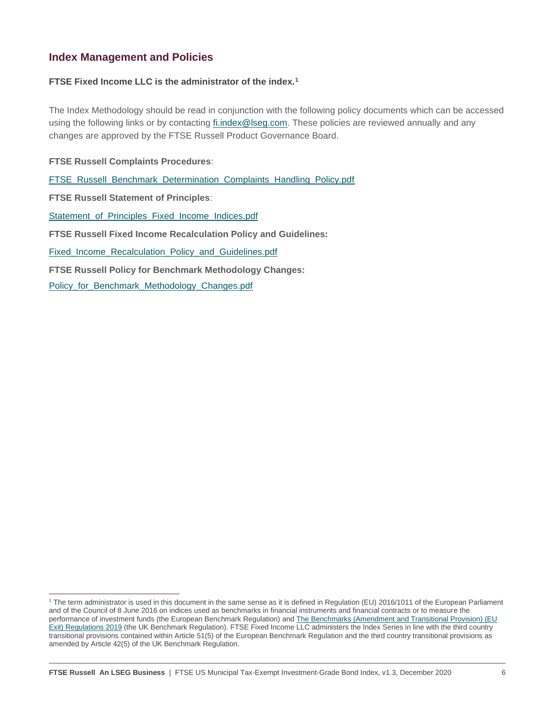### **Index Management and Policies**

#### **FTSE Fixed Income LLC is the administrator of the index.<sup>1</sup>**

The Index Methodology should be read in conjunction with the following policy documents which can be accessed using the following links or by contacting *fi.index@lseg.com*. These policies are reviewed annually and any changes are approved by the FTSE Russell Product Governance Board.

**FTSE Russell Complaints Procedures**:

[FTSE\\_Russell\\_Benchmark\\_Determination\\_Complaints\\_Handling\\_Policy.pdf](https://research.ftserussell.com/products/downloads/FTSE_Russell_Benchmark_Determination_Complaints-Handling_Policy.pdf?_ga=2.138781171.1140115257.1606391949-1548400649.1593679882)

**FTSE Russell Statement of Principles**:

[Statement\\_of\\_Principles\\_Fixed\\_Income\\_Indices.pdf](https://research.ftserussell.com/products/downloads/Statement_of_Principles_Fixed_Income_Indexes.pdf)

**FTSE Russell Fixed Income Recalculation Policy and Guidelines:**

Fixed Income\_Recalculation\_Policy\_and\_Guidelines.pdf

**FTSE Russell Policy for Benchmark Methodology Changes:** 

Policy for Benchmark Methodology Changes.pdf

<sup>1</sup> The term administrator is used in this document in the same sense as it is defined in Regulation (EU) 2016/1011 of the European Parliament and of the Council of 8 June 2016 on indices used as benchmarks in financial instruments and financial contracts or to measure the performance of investment funds (the European Benchmark Regulation) and [The Benchmarks \(Amendment and Transitional Provision\) \(EU](https://www.legislation.gov.uk/uksi/2019/657/made)  [Exit\) Regulations 2019](https://www.legislation.gov.uk/uksi/2019/657/made) (the UK Benchmark Regulation). FTSE Fixed Income LLC administers the Index Series in line with the third country transitional provisions contained within Article 51(5) of the European Benchmark Regulation and the third country transitional provisions as amended by Article 42(5) of the UK Benchmark Regulation.